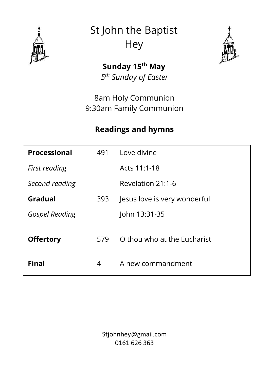

St John the Baptist **Hey** 



**Sunday 15th May** *5 th Sunday of Easter*

8am Holy Communion 9:30am Family Communion

### **Readings and hymns**

| Processional          | 491 | Love divine                  |
|-----------------------|-----|------------------------------|
| First reading         |     | Acts 11:1-18                 |
| Second reading        |     | Revelation 21:1-6            |
| Gradual               | 393 | Jesus love is very wonderful |
| <b>Gospel Reading</b> |     | John 13:31-35                |
| <b>Offertory</b>      | 579 | O thou who at the Eucharist  |
| <b>Final</b>          | 4   | A new commandment            |

Stjohnhey@gmail.com 0161 626 363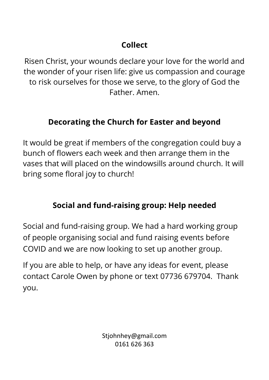# **Collect**

Risen Christ, your wounds declare your love for the world and the wonder of your risen life: give us compassion and courage to risk ourselves for those we serve, to the glory of God the Father. Amen.

## **Decorating the Church for Easter and beyond**

It would be great if members of the congregation could buy a bunch of flowers each week and then arrange them in the vases that will placed on the windowsills around church. It will bring some floral joy to church!

## **Social and fund-raising group: Help needed**

Social and fund-raising group. We had a hard working group of people organising social and fund raising events before COVID and we are now looking to set up another group.

If you are able to help, or have any ideas for event, please contact Carole Owen by phone or text 07736 679704. Thank you.

> Stjohnhey@gmail.com 0161 626 363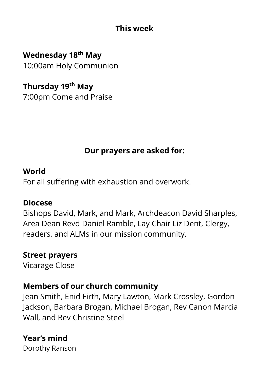### **This week**

**Wednesday 18th May** 10:00am Holy Communion

**Thursday 19th May** 7:00pm Come and Praise

## **Our prayers are asked for:**

#### **World**

For all suffering with exhaustion and overwork.

#### **Diocese**

Bishops David, Mark, and Mark, Archdeacon David Sharples, Area Dean Revd Daniel Ramble, Lay Chair Liz Dent, Clergy, readers, and ALMs in our mission community.

## **Street prayers**

Vicarage Close

### **Members of our church community**

Jean Smith, Enid Firth, Mary Lawton, Mark Crossley, Gordon Jackson, Barbara Brogan, Michael Brogan, Rev Canon Marcia Wall, and Rev Christine Steel

**Year's mind** Dorothy Ranson